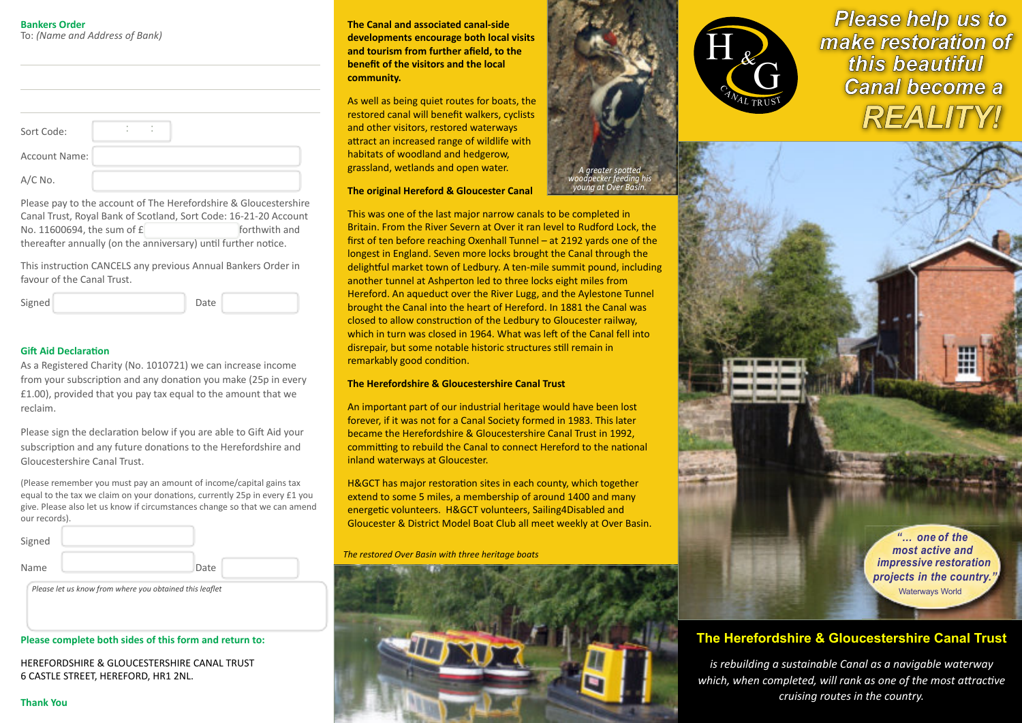#### **Bankers Order** To: *(Name and Address of Bank)*

| Sort Code:           | ٠<br>٠ | ٠ |
|----------------------|--------|---|
| <b>Account Name:</b> |        |   |
| $A/C$ No.            |        |   |

Please pay to the account of The Herefordshire & Gloucestershire Canal Trust, Royal Bank of Scotland, Sort Code: 16-21-20 Account No. 11600694, the sum of  $f$  forthwith and thereafter annually (on the anniversary) until further notice.

This instruction CANCELS any previous Annual Bankers Order in favour of the Canal Trust.

| Signed | Date |  |
|--------|------|--|
|--------|------|--|

# **Gift Aid Declaration**

| As a Registered Charity (No. 1010721) we can increase income   |
|----------------------------------------------------------------|
| from your subscription and any donation you make (25p in every |
| £1.00), provided that you pay tax equal to the amount that we  |
| reclaim.                                                       |

Please sign the declaration below if you are able to Gift Aid your subscription and any future donations to the Herefordshire and Gloucestershire Canal Trust.

(Please remember you must pay an amount of income/capital gains tax equal to the tax we claim on your donations, currently 25p in every £1 you give. Please also let us know if circumstances change so that we can amend our records).

| Signed |      |  |
|--------|------|--|
| Name   | Date |  |

*Please let us know from where you obtained this leaflet*

#### **Please complete both sides of this form and return to:**

HEREFORDSHIRE & GLOUCESTERSHIRE CANAL TRUST 6 CASTLE STREET, HEREFORD, HR1 2NL.

**The Canal and associated canal-side developments encourage both local visits and tourism from further afield, to the benefit of the visitors and the local community.**

As well as being quiet routes for boats, the restored canal will benefit walkers, cyclists and other visitors, restored waterways attract an increased range of wildlife with habitats of woodland and hedgerow, grassland, wetlands and open water.

#### **The original Hereford & Gloucester Canal**

This was one of the last major narrow canals to be completed in Britain. From the River Severn at Over it ran level to Rudford Lock, the first of ten before reaching Oxenhall Tunnel – at 2192 yards one of the longest in England. Seven more locks brought the Canal through the delightful market town of Ledbury. A ten-mile summit pound, including another tunnel at Ashperton led to three locks eight miles from Hereford. An aqueduct over the River Lugg, and the Aylestone Tunnel brought the Canal into the heart of Hereford. In 1881 the Canal was closed to allow construction of the Ledbury to Gloucester railway, which in turn was closed in 1964. What was left of the Canal fell into disrepair, but some notable historic structures still remain in remarkably good condition.

*A greater spo�ed woodpecker feeding his young at Over Basin.*

# **The Herefordshire & Gloucestershire Canal Trust**

An important part of our industrial heritage would have been lost forever, if it was not for a Canal Society formed in 1983. This later became the Herefordshire & Gloucestershire Canal Trust in 1992, committing to rebuild the Canal to connect Hereford to the national inland waterways at Gloucester.

H&GCT has major restoration sites in each county, which together extend to some 5 miles, a membership of around 1400 and many energetic volunteers. H&GCT volunteers, Sailing4Disabled and Gloucester & District Model Boat Club all meet weekly at Over Basin.

*The restored Over Basin with three heritage boats*





**Please help us to** make restoration of this beautiful **Canal become a REALITY!** 



# **The Herefordshire & Gloucestershire Canal Trust**

*is rebuilding a sustainable Canal as a navigable waterway* which, when completed, will rank as one of the most attractive *cruising routes in the country.*

**Thank You**